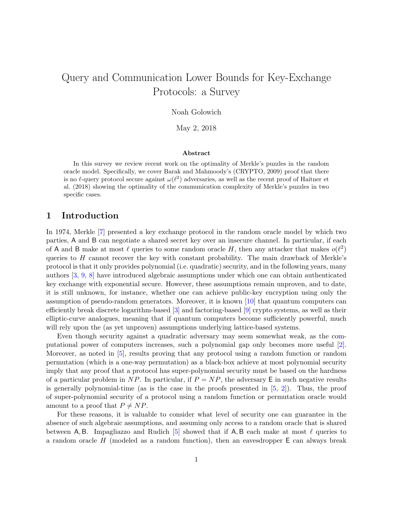# Query and Communication Lower Bounds for Key-Exchange Protocols: a Survey

Noah Golowich

May 2, 2018

#### Abstract

In this survey we review recent work on the optimality of Merkle's puzzles in the random oracle model. Specifically, we cover Barak and Mahmoody's (CRYPTO, 2009) proof that there is no  $\ell$ -query protocol secure against  $\omega(\ell^2)$  adversaries, as well as the recent proof of Haitner et al. (2018) showing the optimality of the communication complexity of Merkle's puzzles in two specific cases.

## 1 Introduction

In 1974, Merkle [\[7\]](#page-14-0) presented a key exchange protocol in the random oracle model by which two parties, A and B can negotiate a shared secret key over an insecure channel. In particular, if each of A and B make at most  $\ell$  queries to some random oracle H, then any attacker that makes  $o(\ell^2)$ queries to  $H$  cannot recover the key with constant probability. The main drawback of Merkle's protocol is that it only provides polynomial (i.e. quadratic) security, and in the following years, many authors [\[3,](#page-14-1) [9,](#page-14-2) [8\]](#page-14-3) have introduced algebraic assumptions under which one can obtain authenticated key exchange with exponential secure. However, these assumptions remain unproven, and to date, it is still unknown, for instance, whether one can achieve public-key encryption using only the assumption of pseudo-random generators. Moreover, it is known [\[10\]](#page-14-4) that quantum computers can efficiently break discrete logarithm-based [\[3\]](#page-14-1) and factoring-based [\[9\]](#page-14-2) crypto systems, as well as their elliptic-curve analogues, meaning that if quantum computers become sufficiently powerful, much will rely upon the (as yet unproven) assumptions underlying lattice-based systems.

Even though security against a quadratic adversary may seem somewhat weak, as the computational power of computers increases, such a polynomial gap only becomes more useful [\[2\]](#page-14-5). Moreover, as noted in [\[5\]](#page-14-6), results proving that any protocol using a random function or random permutation (which is a one-way permutation) as a black-box achieve at most polynomial security imply that any proof that a protocol has super-polynomial security must be based on the hardness of a particular problem in NP. In particular, if  $P = NP$ , the adversary E in such negative results is generally polynomial-time (as is the case in the proofs presented in  $[5, 2]$  $[5, 2]$  $[5, 2]$ ). Thus, the proof of super-polynomial security of a protocol using a random function or permutation oracle would amount to a proof that  $P \neq NP$ .

For these reasons, it is valuable to consider what level of security one can guarantee in the absence of such algebraic assumptions, and assuming only access to a random oracle that is shared between A, B. Impagliazzo and Rudich  $[5]$  showed that if A, B each make at most  $\ell$  queries to a random oracle  $H$  (modeled as a random function), then an eavesdropper  $E$  can always break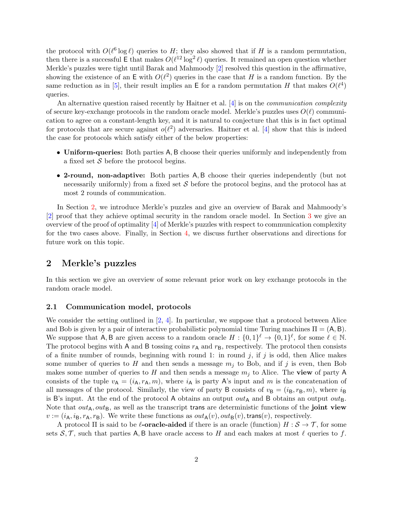the protocol with  $O(\ell^6 \log \ell)$  queries to H; they also showed that if H is a random permutation, then there is a successful E that makes  $O(\ell^{12} \log^2 \ell)$  queries. It remained an open question whether Merkle's puzzles were tight until Barak and Mahmoody [\[2\]](#page-14-5) resolved this question in the affirmative, showing the existence of an  $E$  with  $O(\ell^2)$  queries in the case that H is a random function. By the same reduction as in [\[5\]](#page-14-6), their result implies an E for a random permutation H that makes  $O(\ell^4)$ queries.

An alternative question raised recently by Haitner et al.  $[4]$  is on the *communication complexity* of secure key-exchange protocols in the random oracle model. Merkle's puzzles uses  $O(\ell)$  communication to agree on a constant-length key, and it is natural to conjecture that this is in fact optimal for protocols that are secure against  $o(\ell^2)$  adversaries. Haitner et al. [\[4\]](#page-14-7) show that this is indeed the case for protocols which satisfy either of the below properties:

- Uniform-queries: Both parties A, B choose their queries uniformly and independently from a fixed set  $\mathcal S$  before the protocol begins.
- 2-round, non-adaptive: Both parties A, B choose their queries independently (but not necessarily uniformly) from a fixed set  $S$  before the protocol begins, and the protocol has at most 2 rounds of communication.

In Section [2,](#page-1-0) we introduce Merkle's puzzles and give an overview of Barak and Mahmoody's [\[2\]](#page-14-5) proof that they achieve optimal security in the random oracle model. In Section [3](#page-6-0) we give an overview of the proof of optimality  $|4|$  of Merkle's puzzles with respect to communication complexity for the two cases above. Finally, in Section [4,](#page-12-0) we discuss further observations and directions for future work on this topic.

## <span id="page-1-0"></span>2 Merkle's puzzles

In this section we give an overview of some relevant prior work on key exchange protocols in the random oracle model.

### 2.1 Communication model, protocols

We consider the setting outlined in  $[2, 4]$  $[2, 4]$  $[2, 4]$ . In particular, we suppose that a protocol between Alice and Bob is given by a pair of interactive probabilistic polynomial time Turing machines  $\Pi = (A, B)$ . We suppose that A, B are given access to a random oracle  $H: \{0,1\}^{\ell} \to \{0,1\}^{\ell}$ , for some  $\ell \in \mathbb{N}$ . The protocol begins with A and B tossing coins  $r_A$  and  $r_B$ , respectively. The protocol then consists of a finite number of rounds, beginning with round 1: in round  $j$ , if  $j$  is odd, then Alice makes some number of queries to H and then sends a message  $m_i$  to Bob, and if j is even, then Bob makes some number of queries to H and then sends a message  $m_j$  to Alice. The view of party A consists of the tuple  $v_A = (i_A, r_A, m)$ , where  $i_A$  is party A's input and m is the concatenation of all messages of the protocol. Similarly, the view of party B consists of  $v_{\rm B} = (i_{\rm B}, r_{\rm B}, m)$ , where  $i_{\rm B}$ is B's input. At the end of the protocol A obtains an output  $out_A$  and B obtains an output  $out_B$ . Note that  $out_A, out_B$ , as well as the transcript trans are deterministic functions of the joint view  $v := (i_{\mathsf{A}}, i_{\mathsf{B}}, r_{\mathsf{A}}, r_{\mathsf{B}})$ . We write these functions as  $out_{\mathsf{A}}(v), out_{\mathsf{B}}(v), trans(v)$ , respectively.

A protocol  $\Pi$  is said to be **l**-**oracle-aided** if there is an oracle (function)  $H : \mathcal{S} \to \mathcal{T}$ , for some sets  $S, \mathcal{T}$ , such that parties A, B have oracle access to H and each makes at most  $\ell$  queries to f.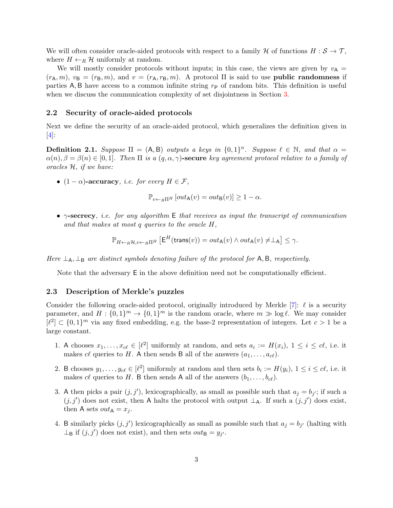We will often consider oracle-aided protocols with respect to a family H of functions  $H : \mathcal{S} \to \mathcal{T}$ , where  $H \leftarrow_R \mathcal{H}$  uniformly at random.

We will mostly consider protocols without inputs; in this case, the views are given by  $v_A =$  $(r_A, m)$ ,  $v_B = (r_B, m)$ , and  $v = (r_A, r_B, m)$ . A protocol  $\Pi$  is said to use **public randomness** if parties  $A, B$  have access to a common infinite string  $r_{P}$  of random bits. This definition is useful when we discuss the communication complexity of set disjointness in Section [3.](#page-6-0)

#### 2.2 Security of oracle-aided protocols

Next we define the security of an oracle-aided protocol, which generalizes the definition given in  $\vert 4 \vert$ :

<span id="page-2-0"></span>**Definition 2.1.** Suppose  $\Pi = (A, B)$  outputs a keys in  $\{0, 1\}^n$ . Suppose  $\ell \in \mathbb{N}$ , and that  $\alpha =$  $\alpha(n), \beta = \beta(n) \in [0, 1]$ . Then  $\Pi$  is a  $(q, \alpha, \gamma)$ -secure key agreement protocol relative to a family of oracles H, if we have:

•  $(1 - \alpha)$ -accuracy, *i.e. for every*  $H \in \mathcal{F}$ ,

$$
\mathbb{P}_{v \leftarrow_R \Pi^H} [out_{\mathsf{A}}(v) = out_{\mathsf{B}}(v)] \ge 1 - \alpha.
$$

•  $\gamma$ -secrecy, i.e. for any algorithm E that receives as input the transcript of communication and that makes at most q queries to the oracle H,

$$
\mathbb{P}_{H \leftarrow_R \mathcal{H}, v \leftarrow_R \Pi^H} \left[ \mathsf{E}^H(\mathsf{trans}(v)) = out_\mathsf{A}(v) \land out_\mathsf{A}(v) \neq \perp_\mathsf{A} \right] \leq \gamma.
$$

Here  $\perp_A$ ,  $\perp_B$  are distinct symbols denoting failure of the protocol for A, B, respectively.

Note that the adversary E in the above definition need not be computationally efficient.

#### <span id="page-2-1"></span>2.3 Description of Merkle's puzzles

Consider the following oracle-aided protocol, originally introduced by Merkle  $[7]$ :  $\ell$  is a security parameter, and  $H: \{0,1\}^m \to \{0,1\}^m$  is the random oracle, where  $m \gg \log \ell$ . We may consider  $[\ell^2] \subset \{0,1\}^m$  via any fixed embedding, e.g. the base-2 representation of integers. Let  $c > 1$  be a large constant.

- 1. A chooses  $x_1, \ldots, x_{c\ell} \in [\ell^2]$  uniformly at random, and sets  $a_i := H(x_i)$ ,  $1 \le i \le c\ell$ , i.e. it makes c $\ell$  queries to H. A then sends B all of the answers  $(a_1, \ldots, a_{c\ell}).$
- 2. B chooses  $y_1, \ldots, y_{c\ell} \in [\ell^2]$  uniformly at random and then sets  $b_i := H(y_i)$ ,  $1 \le i \le c\ell$ , i.e. it makes c $\ell$  queries to H. B then sends A all of the answers  $(b_1, \ldots, b_{c\ell})$ .
- 3. A then picks a pair  $(j, j')$ , lexicographically, as small as possible such that  $a_j = b_{j'}$ ; if such a  $(j, j')$  does not exist, then A halts the protocol with output  $\perp_A$ . If such a  $(j, j')$  does exist, then A sets  $out_A = x_i$ .
- 4. B similarly picks  $(j, j')$  lexicographically as small as possible such that  $a_j = b_{j'}$  (halting with  $\perp_B$  if  $(j, j')$  does not exist), and then sets  $out_B = y_{j'}$ .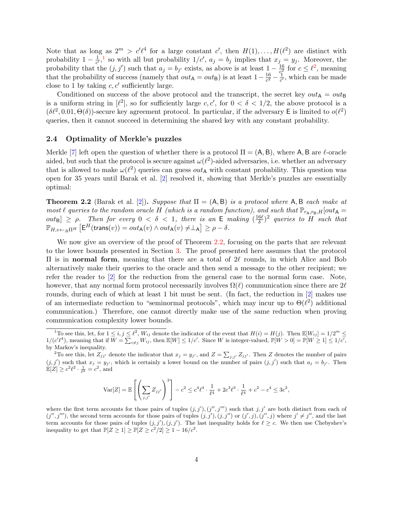Note that as long as  $2^m > c'\ell^4$  for a large constant c', then  $H(1), \ldots, H(\ell^2)$  are distinct with probability  $1-\frac{1}{c'}$  $\frac{1}{c'}$  $\frac{1}{c'}$  $\frac{1}{c'}$ , so with all but probability  $1/c'$ ,  $a_j = b_j$  implies that  $x_j = y_j$ . Moreover, the probability that the  $(j, j')$  such that  $a_j = b_{j'}$  exists, as above is at least  $1 - \frac{16}{c^2}$  $\frac{16}{c^2}$  $\frac{16}{c^2}$  $\frac{16}{c^2}$  for  $c \leq \ell^2$ , meaning that the probability of success (namely that  $out_{\mathsf{A}} = out_{\mathsf{B}}$ ) is at least  $1 - \frac{16}{c^2}$  $\frac{16}{c^2} - \frac{1}{c'}$  $\frac{1}{c'}$ , which can be made close to 1 by taking  $c, c'$  sufficiently large.

Conditioned on success of the above protocol and the transcript, the secret key  $out_A = out_B$ is a uniform string in  $[\ell^2]$ , so for sufficiently large c, c', for  $0 < \delta < 1/2$ , the above protocol is a  $(\delta \ell^2, 0.01, \Theta(\delta))$ -secure key agreement protocol. In particular, if the adversary E is limited to  $o(\ell^2)$ queries, then it cannot succeed in determining the shared key with any constant probability.

### 2.4 Optimality of Merkle's puzzles

Merkle [\[7\]](#page-14-0) left open the question of whether there is a protocol  $\Pi = (A, B)$ , where A, B are  $\ell$ -oracle aided, but such that the protocol is secure against  $\omega(\ell^2)$ -aided adversaries, i.e. whether an adversary that is allowed to make  $\omega(\ell^2)$  queries can guess  $out_{\mathsf{A}}$  with constant probability. This question was open for 35 years until Barak et al. [\[2\]](#page-14-5) resolved it, showing that Merkle's puzzles are essentially optimal:

<span id="page-3-2"></span>**Theorem 2.2** (Barak et al. [\[2\]](#page-14-5)). Suppose that  $\Pi = (A, B)$  is a protocol where A, B each make at most  $\ell$  queries to the random oracle H (which is a random function), and such that  $\mathbb{P}_{r_{A},r_{B},H}[out_{A} =$  $[out_{\mathsf{B}}] \geq \rho$ . Then for every  $0 < \delta < 1$ , there is an E making  $\left(\frac{16\ell}{\delta}\right)$ Then for every  $0 < \delta < 1$ , there is an E making  $(\frac{16\ell}{\delta})^2$  queries to H such that  $\mathbb{P}_{H,v\leftarrow_R\Pi^H}\left[\mathsf{E}^H(\mathsf{trans}(v))=out_{\mathsf{A}}(v)\wedge out_{\mathsf{A}}(v)\neq\perp_{\mathsf{A}}\right]\geq\rho-\delta.$ 

We now give an overview of the proof of Theorem [2.2,](#page-3-2) focusing on the parts that are relevant to the lower bounds presented in Section [3.](#page-6-0) The proof presented here assumes that the protocol II is in normal form, meaning that there are a total of  $2\ell$  rounds, in which Alice and Bob alternatively make their queries to the oracle and then send a message to the other recipient; we refer the reader to [\[2\]](#page-14-5) for the reduction from the general case to the normal form case. Note, however, that any normal form protocol necessarily involves  $\Omega(\ell)$  communication since there are 2 $\ell$ rounds, during each of which at least 1 bit must be sent. (In fact, the reduction in [\[2\]](#page-14-5) makes use of an intermediate reduction to "seminormal protocols", which may incur up to  $\Theta(\ell^2)$  additional communication.) Therefore, one cannot directly make use of the same reduction when proving communication complexity lower bounds.

$$
\text{Var}[Z] = \mathbb{E}\left[\left(\sum_{j,j'} Z_{jj'}\right)^2\right] - c^2 \le c^4 \ell^4 \cdot \frac{1}{\ell^4} + 2c^3 \ell^3 \cdot \frac{1}{\ell^4} + c^2 - c^4 \le 3c^2,
$$

where the first term accounts for those pairs of tuples  $(j, j'), (j'', j''')$  such that  $j, j'$  are both distinct from each of  $(j'', j''')$ , the second term accounts for those pairs of tuples  $(j, j'),(j, j'')$  or  $(j', j), (j'', j)$  where  $j' \neq j''$ , and the last term accounts for those pairs of tuples  $(j, j'), (j, j')$ . The last inequality holds for  $\ell \geq c$ . We then use Chebyshev's inequality to get that  $\mathbb{P}[Z \geq 1] \geq \mathbb{P}[Z \geq c^2/2] \geq 1 - 16/c^2$ .

<span id="page-3-0"></span><sup>&</sup>lt;sup>1</sup>To see this, let, for  $1 \le i, j \le \ell^2$ ,  $W_{ij}$  denote the indicator of the event that  $H(i) = H(j)$ . Then  $\mathbb{E}[W_{ij}] = 1/2^m \le$  $1/(c'\ell^4)$ , meaning that if  $W = \sum_{i \neq j} W_{ij}$ , then  $\mathbb{E}[W] \leq 1/c'$ . Since W is integer-valued,  $\mathbb{P}[W > 0] = \mathbb{P}[W \geq 1] \leq 1/c'$ , by Markov's inequality.

<span id="page-3-1"></span><sup>&</sup>lt;sup>2</sup>To see this, let  $Z_{jj'}$  denote the indicator that  $x_j = y_{j'}$ , and  $Z = \sum_{j,j'} Z_{jj'}$ . Then Z denotes the number of pairs  $(j, j')$  such that  $x_j = y_{j'}$ , which is certainly a lower bound on the number of pairs  $(j, j')$  such that  $a_j = b_{j'}$ . Then  $\mathbb{E}[Z] \ge c^2 \ell^2 \cdot \frac{1}{\ell^2} = c^2$ , and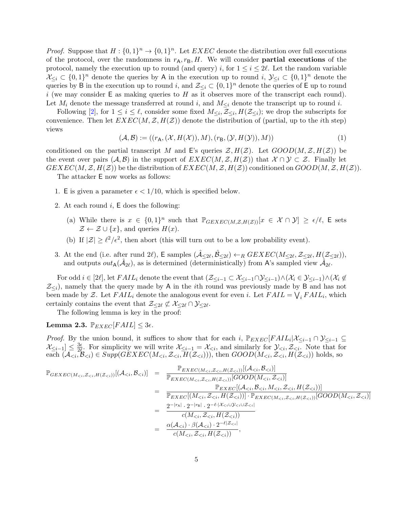*Proof.* Suppose that  $H: \{0,1\}^n \to \{0,1\}^n$ . Let  $EXEC$  denote the distribution over full executions of the protocol, over the randomness in  $r_A, r_B, H$ . We will consider **partial executions** of the protocol, namely the execution up to round (and query) i, for  $1 \leq i \leq 2\ell$ . Let the random variable  $\mathcal{X}_{\leq i} \subset \{0,1\}^n$  denote the queries by A in the execution up to round  $i, \mathcal{Y}_{\leq i} \subset \{0,1\}^n$  denote the queries by B in the execution up to round i, and  $\mathcal{Z}_{\leq i} \subset \{0,1\}^n$  denote the queries of E up to round i (we may consider  $E$  as making queries to H as it observes more of the transcript each round). Let  $M_i$  denote the message transferred at round i, and  $M_{\leq i}$  denote the transcript up to round i.

Following [\[2\]](#page-14-5), for  $1 \leq i \leq \ell$ , consider some fixed  $M_{\leq i}, Z_{\leq i}, H(\mathcal{Z}_{\leq i})$ ; we drop the subscripts for convenience. Then let  $EXEC(M, \mathcal{Z}, H(\mathcal{Z}))$  denote the distribution of (partial, up to the *i*th step) views

<span id="page-4-0"></span>
$$
(\mathcal{A}, \mathcal{B}) := ((r_{\mathsf{A}}, (\mathcal{X}, H(\mathcal{X})), M), (r_{\mathsf{B}}, (\mathcal{Y}, H(\mathcal{Y})), M))
$$
(1)

conditioned on the partial transcript M and E's queries  $\mathcal{Z}, H(\mathcal{Z})$ . Let  $GOOD(M, \mathcal{Z}, H(\mathcal{Z}))$  be the event over pairs  $(A, \mathcal{B})$  in the support of  $EXEC(M, \mathcal{Z}, H(\mathcal{Z}))$  that  $\mathcal{X} \cap \mathcal{Y} \subset \mathcal{Z}$ . Finally let  $GEXEC(M,\mathcal{Z},H(\mathcal{Z}))$  be the distribution of  $EXEC(M,\mathcal{Z},H(\mathcal{Z}))$  conditioned on  $GOOD(M,\mathcal{Z},H(\mathcal{Z}))$ .

The attacker E now works as follows:

- 1. E is given a parameter  $\epsilon < 1/10$ , which is specified below.
- 2. At each round  $i$ ,  $E$  does the following:
	- (a) While there is  $x \in \{0,1\}^n$  such that  $\mathbb{P}_{GEXEC(M,\mathcal{Z},H(\mathcal{Z}))}[x \in \mathcal{X} \cap \mathcal{Y}] \geq \epsilon/\ell$ , E sets  $\mathcal{Z} \leftarrow \mathcal{Z} \cup \{x\}$ , and queries  $H(x)$ .
	- (b) If  $|\mathcal{Z}| \geq \ell^2/\epsilon^2$ , then abort (this will turn out to be a low probability event).
- 3. At the end (i.e. after rund 2 $\ell$ ), E samples  $(\hat{\mathcal{A}}_{\leq 2\ell}, \hat{\mathcal{B}}_{\leq 2\ell}) \leftarrow_R GEXEC(M_{\leq 2\ell}, \mathcal{Z}_{\leq 2\ell}, H(\mathcal{Z}_{\leq 2\ell}))$ , and outputs  $out_{\mathsf{A}}(\hat{\mathcal{A}}_{2\ell})$ , as is determined (deterministically) from A's sampled view  $\hat{\mathcal{A}}_{2\ell}$ .

For odd  $i \in [2\ell],$  let  $FAIL_i$  denote the event that  $(\mathcal{Z}_{\leq i-1} \subset \mathcal{X}_{\leq i-1} \cap \mathcal{Y}_{\leq i-1}) \wedge (\mathcal{X}_i \in \mathcal{Y}_{\leq i-1}) \wedge (\mathcal{X}_i \notin \mathcal{Y}_{\leq i-1})$  $\mathcal{Z}_{\leq i}$ ), namely that the query made by A in the *i*th round was previously made by B and has not been made by Z. Let  $FAIL_i$  denote the analogous event for even *i*. Let  $FAIL = \bigvee_i FAIL_i$ , which certainly contains the event that  $\mathcal{Z}_{\leq 2\ell} \not\subset \mathcal{X}_{\leq 2\ell} \cap \mathcal{Y}_{\leq 2\ell}.$ 

The following lemma is key in the proof:

<span id="page-4-1"></span>Lemma 2.3.  $\mathbb{P}_{EXEC}[FAIL] \leq 3\epsilon$ .

*Proof.* By the union bound, it suffices to show that for each i,  $\mathbb{P}_{EXEC}[FAIL_i|\mathcal{X}_{\leq i-1} \cap \mathcal{Y}_{\leq i-1}]$  $\mathcal{X}_{\leq i-1}]\leq \frac{3\epsilon}{2\ell}$  $\frac{3\epsilon}{2\ell}$ . For simplicity we will write  $\mathcal{X}_{\leq i-1} = \mathcal{X}_{\leq i}$ , and similarly for  $\mathcal{Y}_{\leq i}, \mathcal{Z}_{\leq i}$ . Note that for each  $(\mathcal{A}_{\leq i}, \mathcal{B}_{\leq i}) \in Supp(\mathcal{GEXEC}(M_{\leq i}, \mathcal{Z}_{\leq i}, \mathcal{H}(\mathcal{Z}_{\leq i}))),$  then  $GOOD(M_{\leq i}, \mathcal{Z}_{\leq i}, \mathcal{H}(\mathcal{Z}_{\leq i}))$  holds, so

$$
\mathbb{P}_{GEXEC(M_{i}))}[ (\mathcal{A}_{i}) ] = \frac{\mathbb{P}_{EXEC(M_{i}))}[ (\mathcal{A}_{i}) ]}{\mathbb{P}_{EXEC(M_{i}))}[GOOD(M_{i}) ]}
$$
  
\n
$$
= \frac{\mathbb{P}_{EXEC}[(\mathcal{A}_{i}) ]]}{\mathbb{P}_{EXEC}[(M_{i})) ] \cdot \mathbb{P}_{EXEC(M_{i}))}[GOOD(M_{i}) ]}
$$
  
\n
$$
= \frac{2^{-|r_{\mathsf{A}}|} \cdot 2^{-|r_{\mathsf{B}}|} \cdot 2^{-\ell \cdot |\mathcal{X}_{  
\n
$$
= \frac{\alpha(\mathcal{A}_{
$$
$$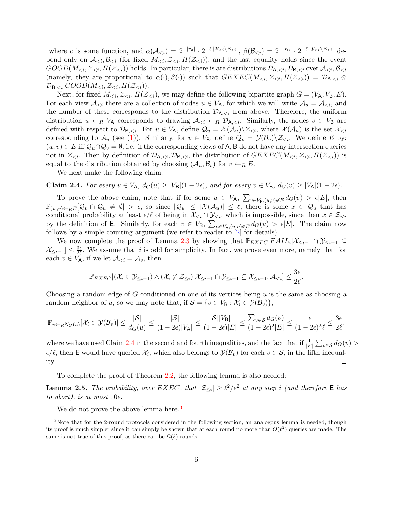where c is some function, and  $\alpha(\mathcal{A}_{\leq i}) = 2^{-|r_{\mathsf{A}}|} \cdot 2^{-\ell \cdot |\mathcal{X}_{\leq i} \setminus \mathcal{Z}_{\leq i}|}, \ \beta(\mathcal{B}_{\leq i}) = 2^{-|r_{\mathsf{B}}|} \cdot 2^{-\ell \cdot |\mathcal{Y}_{\leq i} \setminus \mathcal{Z}_{\leq i}|}$  depend only on  $\mathcal{A}_{\leq i}, \mathcal{B}_{\leq i}$  (for fixed  $M_{\leq i}, \mathcal{Z}_{\leq i}, H(\mathcal{Z}_{\leq i})$ ), and the last equality holds since the event  $GOOD(M_{\leq i},\mathcal{Z}_{\leq i},H(\mathcal{Z}_{\leq i}))$  holds. In particular, there is are distributions  $\mathcal{D}_{A,\leq i},\mathcal{D}_{B,\leq i}$  over  $\mathcal{A}_{\leq i},\mathcal{B}_{\leq i}$ (namely, they are proportional to  $\alpha(\cdot), \beta(\cdot)$ ) such that  $GEXEC(M_{\leq i}, \mathcal{Z}_{\leq i}, H(\mathcal{Z}_{\leq i})) = \mathcal{D}_{A, \leq i} \otimes$  $\mathcal{D}_{\mathsf{B},< i}|GOOD(M_{< i}, \mathcal{Z}_{< i}, H(\mathcal{Z}_{< i})).$ 

Next, for fixed  $M_{\leq i}$ ,  $\mathcal{Z}_{\leq i}$ ,  $H(\mathcal{Z}_{\leq i})$ , we may define the following bipartite graph  $G = (V_A, V_B, E)$ . For each view  $\mathcal{A}_{\leq i}$  there are a collection of nodes  $u \in V_A$ , for which we will write  $\mathcal{A}_u = \mathcal{A}_{\leq i}$ , and the number of these corresponds to the distribution  $\mathcal{D}_{A,\leq i}$  from above. Therefore, the uniform distribution  $u \leftarrow_R V_A$  corresponds to drawing  $\mathcal{A}_{\leq i} \leftarrow_R \mathcal{D}_{A_{\leq i}}$ . Similarly, the nodes  $v \in V_B$  are defined with respect to  $\mathcal{D}_{B,\leq i}$ . For  $u \in V_A$ , define  $\mathcal{Q}_u = \mathcal{X}(\mathcal{A}_u) \setminus \mathcal{Z}_{\leq i}$ , where  $\mathcal{X}(\mathcal{A}_u)$  is the set  $\mathcal{X}_{\leq i}$ corresponding to  $\mathcal{A}_u$  (see [\(1\)](#page-4-0)). Similarly, for  $v \in V_B$ , define  $\mathcal{Q}_v = \mathcal{Y}(\mathcal{B}_v) \setminus \mathcal{Z}_{\leq i}$ . We define E by:  $(u, v) \in E$  iff  $\mathcal{Q}_u \cap \mathcal{Q}_v = \emptyset$ , i.e. if the corresponding views of A, B do not have any intersection queries not in  $\mathcal{Z}_{\leq i}$ . Then by definition of  $\mathcal{D}_{A,\leq i}, \mathcal{D}_{B,\leq i}$ , the distribution of  $GEXEC(M_{\leq i}, \mathcal{Z}_{\leq i}, H(\mathcal{Z}_{\leq i}))$  is equal to the distribution obtained by choosing  $(\mathcal{A}_u, \mathcal{B}_v)$  for  $v \leftarrow_R E$ .

We next make the following claim.

<span id="page-5-0"></span>**Claim 2.4.** For every 
$$
u \in V_A
$$
,  $d_G(u) \ge |V_B|(1-2\epsilon)$ , and for every  $v \in V_B$ ,  $d_G(v) \ge |V_A|(1-2\epsilon)$ .

To prove the above claim, note that if for some  $u \in V_A$ ,  $\sum_{v \in V_B, (u,v) \notin E} d_G(v) > \epsilon |E|$ , then  $\mathbb{P}_{(w,v)\leftarrow_{R}E}[\mathcal{Q}_{v}\cap\mathcal{Q}_{u}\neq\emptyset] > \epsilon$ , so since  $|\mathcal{Q}_{u}|\leq|\mathcal{X}(\mathcal{A}_{u})|\leq\ell$ , there is some  $x\in\mathcal{Q}_{u}$  that has conditional probability at least  $\epsilon/\ell$  of being in  $\mathcal{X}_{\leq i} \cap \mathcal{Y}_{\leq i}$ , which is impossible, since then  $x \in \mathcal{Z}_{\leq i}$ by the definition of **E**. Similarly, for each  $v \in V_B$ ,  $\sum_{u \in V_A, (u,v) \notin E} d_G(u) > \epsilon |E|$ . The claim now follows by a simple counting argument (we refer to reader to  $\left[2\right]$  for details).

We now complete the proof of Lemma [2.3](#page-4-1) by showing that  $\mathbb{P}_{EXEC}[FAIL_i|\mathcal{X}_{\leq i-1} \cap \mathcal{Y}_{\leq i-1}]$  $\mathcal{X}_{\leq i-1}]\leq \frac{3\epsilon}{2\ell}$  $\frac{3\epsilon}{2\ell}$ . We assume that i is odd for simplicity. In fact, we prove even more, namely that for each  $v \in V_A$ , if we let  $\mathcal{A}_{\leq i} = \mathcal{A}_v$ , then

$$
\mathbb{P}_{EXEC}[(\mathcal{X}_i \in \mathcal{Y}_{\leq i-1}) \wedge (\mathcal{X}_i \not\in \mathcal{Z}_{\leq i}) | \mathcal{X}_{\leq i-1} \cap \mathcal{Y}_{\leq i-1} \subseteq \mathcal{X}_{\leq i-1}, \mathcal{A}_{< i}] \leq \frac{3\epsilon}{2\ell}.
$$

Choosing a random edge of  $G$  conditioned on one of its vertices being  $u$  is the same as choosing a random neighbor of u, so we may note that, if  $S = \{v \in V_B : \mathcal{X}_i \in \mathcal{Y}(\mathcal{B}_v)\}\$ ,

$$
\mathbb{P}_{v \leftarrow_R N_G(u)}[\mathcal{X}_i \in \mathcal{Y}(\mathcal{B}_v)] \leq \frac{|\mathcal{S}|}{d_G(u)} \leq \frac{|\mathcal{S}|}{(1 - 2\epsilon)|V_A|} \leq \frac{|\mathcal{S}| |V_B|}{(1 - 2\epsilon)|E|} \leq \frac{\sum_{v \in \mathcal{S}} d_G(v)}{(1 - 2\epsilon)^2|E|} \leq \frac{\epsilon}{(1 - 2\epsilon)^2 \ell} \leq \frac{3\epsilon}{2\ell},
$$

where we have used Claim [2.4](#page-5-0) in the second and fourth inequalities, and the fact that if  $\frac{1}{|E|}\sum_{v\in S}d_G(v)$  $\epsilon/\ell$ , then E would have queried  $\mathcal{X}_i$ , which also belongs to  $\mathcal{Y}(\mathcal{B}_v)$  for each  $v \in \mathcal{S}$ , in the fifth inequal- $\Box$ ity.

To complete the proof of Theorem [2.2,](#page-3-2) the following lemma is also needed:

<span id="page-5-2"></span>**Lemma 2.5.** The probability, over  $EXEC$ , that  $|\mathcal{Z}_{\leq i}| \geq \ell^2/\epsilon^2$  at any step i (and therefore  $\mathsf E$  has to abort), is at most  $10\epsilon$ .

We do not prove the above lemma here.<sup>[3](#page-5-1)</sup>

<span id="page-5-1"></span><sup>&</sup>lt;sup>3</sup>Note that for the 2-round protocols considered in the following section, an analogous lemma is needed, though its proof is much simpler since it can simply be shown that at each round no more than  $O(\ell^2)$  queries are made. The same is not true of this proof, as there can be  $\Omega(\ell)$  rounds.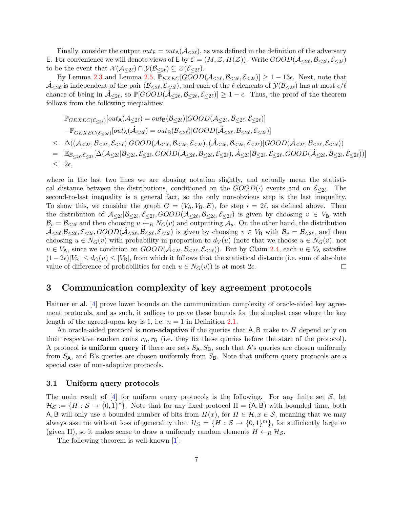Finally, consider the output  $out_{\mathsf{E}} = out_{\mathsf{A}}(\mathcal{A}_{\leq 2\ell})$ , as was defined in the definition of the adversary E. For convenience we will denote views of E by  $\mathcal{E} = (M, \mathcal{Z}, H(\mathcal{Z}))$ . Write  $GOOD(\mathcal{A}_{\leq 2\ell}, \mathcal{B}_{\leq 2\ell}, \mathcal{E}_{\leq 2\ell})$ to be the event that  $\mathcal{X}(\mathcal{A}_{\leq 2\ell}) \cap \mathcal{Y}(\mathcal{B}_{\leq 2\ell}) \subseteq \mathcal{Z}(\mathcal{E}_{\leq 2\ell}).$ 

By Lemma [2.3](#page-4-1) and Lemma [2.5,](#page-5-2)  $\overline{\mathbb{P}_{EXEC}}[G\overline{OOD}(\mathcal{A}_{\leq 2\ell}, \mathcal{B}_{\leq 2\ell}, \mathcal{E}_{\leq 2\ell})] \geq 1 - 13\epsilon$ . Next, note that  $\hat{\mathcal{A}}_{\leq 2\ell}$  is independent of the pair  $(\mathcal{B}_{\leq 2\ell}, \mathcal{E}_{\leq 2\ell})$ , and each of the  $\ell$  elements of  $\mathcal{Y}(\mathcal{B}_{\leq 2\ell})$  has at most  $\epsilon/\ell$ chance of being in  $\hat{\mathcal{A}}_{\leq 2\ell}$ , so  $\mathbb{P}[G\widehat{OOD}(\overline{\hat{\mathcal{A}}}_{\leq 2\ell}, \mathcal{B}_{\leq 2\ell}, \mathcal{E}_{\leq 2\ell})] \geq 1 - \epsilon$ . Thus, the proof of the theorem follows from the following inequalities:

$$
\mathbb{P}_{GEXEC(\mathcal{E}_{\leq 2\ell})}[out_{A}(\mathcal{A}_{\leq 2\ell}) = out_{B}(\mathcal{B}_{\leq 2\ell})|GOOD(\mathcal{A}_{\leq 2\ell}, \mathcal{B}_{\leq 2\ell}, \mathcal{E}_{\leq 2\ell})]
$$
\n
$$
-\mathbb{P}_{GEXEC(\mathcal{E}_{\leq 2\ell})}[out_{A}(\hat{\mathcal{A}}_{\leq 2\ell}) = out_{B}(\mathcal{B}_{\leq 2\ell})|GOOD(\hat{\mathcal{A}}_{\leq 2\ell}, \mathcal{B}_{\leq 2\ell}, \mathcal{E}_{\leq 2\ell})]
$$
\n
$$
\leq \Delta((\mathcal{A}_{\leq 2\ell}, \mathcal{B}_{\leq 2\ell}, \mathcal{E}_{\leq 2\ell})|GOOD(\mathcal{A}_{\leq 2\ell}, \mathcal{B}_{\leq 2\ell}, \mathcal{E}_{\leq 2\ell}), (\hat{\mathcal{A}}_{\leq 2\ell}, \mathcal{B}_{\leq 2\ell}, \mathcal{E}_{\leq 2\ell})|GOOD(\hat{\mathcal{A}}_{\leq 2\ell}, \mathcal{B}_{\leq 2\ell}, \mathcal{E}_{\leq 2\ell})]
$$
\n
$$
= \mathbb{E}_{\mathcal{B}_{\leq 2\ell}, \mathcal{E}_{\leq 2\ell}}[\Delta(\mathcal{A}_{\leq 2\ell}|\mathcal{B}_{\leq 2\ell}, \mathcal{E}_{\leq 2\ell}, GOOD(\mathcal{A}_{\leq 2\ell}, \mathcal{B}_{\leq 2\ell}, \mathcal{E}_{\leq 2\ell}, \mathcal{B}_{\leq 2\ell}, \mathcal{E}_{\leq 2\ell}, \mathcal{B}_{\leq 2\ell}, \mathcal{E}_{\leq 2\ell})]
$$
\n
$$
\leq 2\epsilon,
$$

where in the last two lines we are abusing notation slightly, and actually mean the statistical distance between the distributions, conditioned on the  $GOOD(\cdot)$  events and on  $\mathcal{E}_{\leq 2\ell}$ . The second-to-last inequality is a general fact, so the only non-obvious step is the last inequality. To show this, we consider the graph  $G = (V_A, V_B, E)$ , for step  $i = 2\ell$ , as defined above. Then the distribution of  $\mathcal{A}_{\leq 2\ell}|\mathcal{B}_{\leq 2\ell}, \mathcal{E}_{\leq 2\ell}, GOOD(\mathcal{A}_{\leq 2\ell}, \mathcal{B}_{\leq 2\ell})$  is given by choosing  $v \in V_B$  with  $\mathcal{B}_v = \mathcal{B}_{\leq 2\ell}$  and then choosing  $u \leftarrow_R N_G(v)$  and outputting  $\mathcal{A}_u$ . On the other hand, the distribution  $\hat{\mathcal{A}}_{\leq 2\ell}|\overline{\mathcal{B}}_{\leq 2\ell}, \mathcal{E}_{\leq 2\ell}, \mathcal{B}_{\leq 2\ell}, \mathcal{B}_{\leq 2\ell}, \xi_{\leq 2\ell}\rangle$  is given by choosing  $v \in V_B$  with  $\mathcal{B}_v = \mathcal{B}_{\leq 2\ell}$ , and then choosing  $u \in N_G(v)$  with probability in proportion to  $d_V(u)$  (note that we choose  $u \in N_G(v)$ , not  $u \in V_A$ , since we condition on  $GOOD(\hat{\mathcal{A}}_{\leq 2\ell}, \mathcal{B}_{\leq 2\ell}, \mathcal{E}_{\leq 2\ell}))$ . But by Claim [2.4,](#page-5-0) each  $u \in V_A$  satisfies  $(1-2\epsilon)|V_B| \leq d_G(u) \leq |V_B|$ , from which it follows that the statistical distance (i.e. sum of absolute value of difference of probabilities for each  $u \in N_G(v)$  is at most  $2\epsilon$ .  $\Box$ 

## <span id="page-6-0"></span>3 Communication complexity of key agreement protocols

Haitner er al. [\[4\]](#page-14-7) prove lower bounds on the communication complexity of oracle-aided key agreement protocols, and as such, it suffices to prove these bounds for the simplest case where the key length of the agreed-upon key is 1, i.e.  $n = 1$  in Definition [2.1.](#page-2-0)

An oracle-aided protocol is **non-adaptive** if the queries that A, B make to H depend only on their respective random coins  $r_A$ ,  $r_B$  (i.e. they fix these queries before the start of the protocol). A protocol is **uniform query** if there are sets  $S_A$ ,  $S_B$ , such that A's queries are chosen uniformly from  $S_A$ , and B's queries are chosen uniformly from  $S_B$ . Note that uniform query protocols are a special case of non-adaptive protocols.

#### 3.1 Uniform query protocols

The main result of  $\left[4\right]$  for uniform query protocols is the following. For any finite set S, let  $\mathcal{H}_{\mathcal{S}} := \{H : \mathcal{S} \to \{0,1\}^*\}.$  Note that for any fixed protocol  $\Pi = (A, B)$  with bounded time, both A, B will only use a bounded number of bits from  $H(x)$ , for  $H \in \mathcal{H}, x \in \mathcal{S}$ , meaning that we may always assume without loss of generality that  $\mathcal{H}_{\mathcal{S}} = \{H : \mathcal{S} \to \{0,1\}^m\}$ , for sufficiently large m (given  $\Pi$ ), so it makes sense to draw a uniformly random elements  $H \leftarrow_R \mathcal{H}_{\mathcal{S}}$ .

The following theorem is well-known [\[1\]](#page-14-8):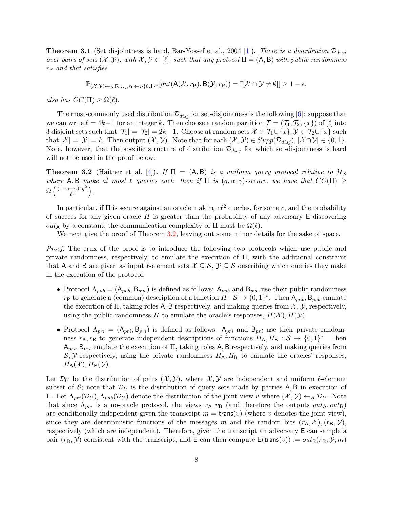**Theorem 3.1** (Set disjointness is hard, Bar-Yossef et al., 2004 [\[1\]](#page-14-8)). There is a distribution  $\mathcal{D}_{disj}$ over pairs of sets  $(\mathcal{X}, \mathcal{Y})$ , with  $\mathcal{X}, \mathcal{Y} \subset [\ell]$ , such that any protocol  $\Pi = (A, B)$  with public randomness  $r_{\rm P}$  and that satisfies

$$
\mathbb{P}_{(\mathcal{X},\mathcal{Y}) \leftarrow_R \mathcal{D}_{disj}, r_{\mathsf{P}} \leftarrow_R \{0,1\}^*}[out(\mathsf{A}(\mathcal{X},r_{\mathsf{P}}),\mathsf{B}(\mathcal{Y},r_{\mathsf{P}})) = \mathbb{I}[\mathcal{X} \cap \mathcal{Y} \neq \emptyset]] \geq 1-\epsilon,
$$

also has  $CC(\Pi) > \Omega(\ell)$ .

The most-commonly used distribution  $\mathcal{D}_{disj}$  for set-disjointness is the following [\[6\]](#page-14-9): suppose that we can write  $\ell = 4k-1$  for an integer k. Then choose a random partition  $\mathcal{T} = (\mathcal{T}_1, \mathcal{T}_2, \{x\})$  of  $[\ell]$  into 3 disjoint sets such that  $|\mathcal{T}_1| = |\mathcal{T}_2| = 2k-1$ . Choose at random sets  $\mathcal{X} \subset \mathcal{T}_1 \cup \{x\}$ ,  $\mathcal{Y} \subset \mathcal{T}_2 \cup \{x\}$  such that  $|\mathcal{X}| = |\mathcal{Y}| = k$ . Then output  $(\mathcal{X}, \mathcal{Y})$ . Note that for each  $(\mathcal{X}, \mathcal{Y}) \in \text{Supp}(\mathcal{D}_{disj}), |\mathcal{X} \cap \mathcal{Y}| \in \{0, 1\}$ . Note, however, that the specific structure of distribution  $\mathcal{D}_{disj}$  for which set-disjointness is hard will not be used in the proof below.

<span id="page-7-0"></span>**Theorem 3.2** (Haitner et al. [\[4\]](#page-14-7)). If  $\Pi = (A, B)$  is a uniform query protocol relative to  $\mathcal{H}_S$ where A, B make at most  $\ell$  queries each, then if  $\Pi$  is  $(q, \alpha, \gamma)$ -secure, we have that  $CC(\Pi) \ge$  $\Omega\left(\frac{(1-\alpha-\gamma)^4q^2}{\ell^3}\right)$  $\frac{(-\gamma)^4 q^2}{\ell^3}$ .

In particular, if  $\Pi$  is secure against an oracle making  $c\ell^2$  queries, for some c, and the probability of success for any given oracle  $H$  is greater than the probability of any adversary  $E$  discovering *out*<sub>A</sub> by a constant, the communication complexity of Π must be  $\Omega(\ell)$ .

We next give the proof of Theorem [3.2,](#page-7-0) leaving out some minor details for the sake of space.

Proof. The crux of the proof is to introduce the following two protocols which use public and private randomness, respectively, to emulate the execution of Π, with the additional constraint that A and B are given as input l-element sets  $\mathcal{X} \subseteq \mathcal{S}$ ,  $\mathcal{Y} \subseteq \mathcal{S}$  describing which queries they make in the execution of the protocol.

- Protocol  $\Lambda_{pub} = (\mathsf{A}_{pub}, \mathsf{B}_{pub})$  is defined as follows:  $\mathsf{A}_{pub}$  and  $\mathsf{B}_{pub}$  use their public randomness  $r_{\mathsf{P}}$  to generate a (common) description of a function  $H : \mathcal{S} \to \{0,1\}^*$ . Then  $\mathsf{A}_{pub}, \mathsf{B}_{pub}$  emulate the execution of  $\Pi$ , taking roles A, B respectively, and making queries from  $\mathcal{X}, \mathcal{Y}$ , respectively, using the public randomness H to emulate the oracle's responses,  $H(\mathcal{X}), H(\mathcal{Y})$ .
- Protocol  $\Lambda_{pri} = (\mathsf{A}_{pri}, \mathsf{B}_{pri})$  is defined as follows:  $\mathsf{A}_{pri}$  and  $\mathsf{B}_{pri}$  use their private randomness  $r_A, r_B$  to generate independent descriptions of functions  $H_A, H_B : S \to \{0, 1\}^*$ . Then  $A_{pri}$ ,  $B_{pri}$  emulate the execution of  $\Pi$ , taking roles A, B respectively, and making queries from  $S, Y$  respectively, using the private randomness  $H_A, H_B$  to emulate the oracles' responses,  $H_{\mathsf{A}}(\mathcal{X}), H_{\mathsf{B}}(\mathcal{Y}).$

Let  $\mathcal{D}_U$  be the distribution of pairs  $(\mathcal{X}, \mathcal{Y})$ , where  $\mathcal{X}, \mathcal{Y}$  are independent and uniform  $\ell$ -element subset of S; note that  $\mathcal{D}_U$  is the distribution of query sets made by parties A, B in execution of Π. Let  $Λ_{pri}(D_U)$ ,  $Λ_{pub}(D_U)$  denote the distribution of the joint view v where  $(X, Y)$  ←R  $D_U$ . Note that since  $\Lambda_{pri}$  is a no-oracle protocol, the views  $v_A, v_B$  (and therefore the outputs  $out_A, out_B$ ) are conditionally independent given the transcript  $m = \text{trans}(v)$  (where v denotes the joint view), since they are deterministic functions of the messages m and the random bits  $(r_A, \mathcal{X})$ ,  $(r_B, \mathcal{Y})$ , respectively (which are independent). Therefore, given the transcript an adversary E can sample a pair  $(r_{\rm B}, \mathcal{Y})$  consistent with the transcript, and E can then compute  $E(\text{trans}(v)) := out_{\rm B}(r_{\rm B}, \mathcal{Y}, m)$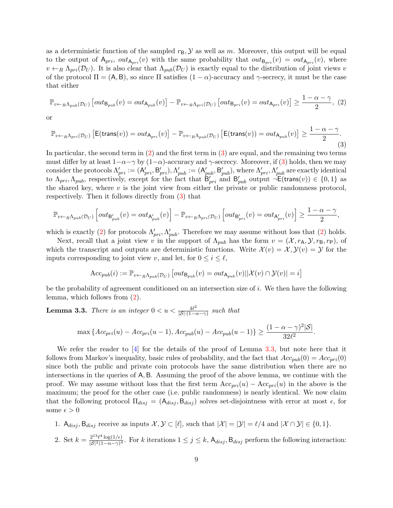as a deterministic function of the sampled  $r_{\rm B}$ ,  $\cal{Y}$  as well as m. Moreover, this output will be equal to the output of  $A_{pri}$ ,  $out_{A_{pri}}(v)$  with the same probability that  $out_{B_{pri}}(v) = out_{A_{pri}}(v)$ , where  $v \leftarrow_R \Lambda_{pri}(\mathcal{D}_U)$ . It is also clear that  $\Lambda_{pub}(\mathcal{D}_U)$  is exactly equal to the distribution of joint views v of the protocol  $\Pi = (A, B)$ , so since  $\Pi$  satisfies  $(1 - \alpha)$ -accuracy and  $\gamma$ -secrecy, it must be the case that either

<span id="page-8-0"></span>
$$
\mathbb{P}_{v \leftarrow_R \Lambda_{pub}(\mathcal{D}_U)} \left[ out_{\mathsf{B}_{pub}}(v) = out_{\mathsf{A}_{pub}}(v) \right] - \mathbb{P}_{v \leftarrow_R \Lambda_{pri}(\mathcal{D}_U)} \left[ out_{\mathsf{B}_{pri}}(v) = out_{\mathsf{A}_{pri}}(v) \right] \ge \frac{1 - \alpha - \gamma}{2}, (2)
$$

or

<span id="page-8-1"></span>
$$
\mathbb{P}_{v \leftarrow_R \Lambda_{pri}(\mathcal{D}_U)} \left[ \mathsf{E}(\mathsf{trans}(v)) = out_{\mathsf{A}_{pri}}(v) \right] - \mathbb{P}_{v \leftarrow_R \Lambda_{pub}(\mathcal{D}_U)} \left[ \mathsf{E}(\mathsf{trans}(v)) = out_{\mathsf{A}_{pub}}(v) \right] \ge \frac{1 - \alpha - \gamma}{2}.\tag{3}
$$

In particular, the second term in [\(2\)](#page-8-0) and the first term in [\(3\)](#page-8-1) are equal, and the remaining two terms must differ by at least  $1-\alpha-\gamma$  by  $(1-\alpha)$ -accuracy and  $\gamma$ -secrecy. Moreover, if [\(3\)](#page-8-1) holds, then we may consider the protocols  $\Lambda'_{pri} := (\mathsf{A}'_{pri}, \mathsf{B}'_{pri}), \Lambda'_{pub} := (\mathsf{A}'_{pub}, \mathsf{B}'_{pub})$ , where  $\Lambda'_{pri}, \Lambda'_{pub}$  are exactly identical to  $\Lambda_{pri}, \Lambda_{pub}$ , respectively, except for the fact that  $\mathcal{B}_{pri}'$  and  $\mathcal{B}_{pub}'$  output  $\neg E(\text{trans}(v)) \in \{0,1\}$  as the shared key, where  $v$  is the joint view from either the private or public randomness protocol, respectively. Then it follows directly from [\(3\)](#page-8-1) that

$$
\mathbb{P}_{v \leftarrow_R \Lambda_{pub}(\mathcal{D}_U)} \left[ out_{\mathsf{B}'_{pub}}(v) = out_{\mathsf{A}'_{pub}}(v) \right] - \mathbb{P}_{v \leftarrow_R \Lambda_{pri}(\mathcal{D}_U)} \left[ out_{\mathsf{B}'_{pri}}(v) = out_{\mathsf{A}'_{pri}}(v) \right] \ge \frac{1 - \alpha - \gamma}{2},
$$

which is exactly [\(2\)](#page-8-0) for protocols  $\Lambda'_{pri}, \Lambda'_{pub}$ . Therefore we may assume without loss that (2) holds.

Next, recall that a joint view v in the support of  $\Lambda_{pub}$  has the form  $v = (\mathcal{X}, r_{\mathsf{A}}, \mathcal{Y}, r_{\mathsf{B}}, r_{\mathsf{P}})$ , of which the transcript and outputs are deterministic functions. Write  $\mathcal{X}(v) = \mathcal{X}, \mathcal{Y}(v) = \mathcal{Y}$  for the inputs corresponding to joint view v, and let, for  $0 \leq i \leq \ell$ ,

$$
\text{Acc}_{pub}(i) := \mathbb{P}_{v \leftarrow_R \Lambda_{pub}(\mathcal{D}_U)} \left[ out_{\mathsf{B}_{pub}}(v) = out_{\mathsf{A}_{pub}}(v) || \mathcal{X}(v) \cap \mathcal{Y}(v) \right] = i \right]
$$

be the probability of agreement conditioned on an intersection size of i. We then have the following lemma, which follows from [\(2\)](#page-8-0).

<span id="page-8-2"></span>**Lemma 3.3.** There is an integer  $0 < u < \frac{4l^2}{|S| \cdot (1 - \epsilon)}$  $\frac{4\ell^2}{|S|\cdot(1-\alpha-\gamma)}$  such that

$$
\max \left\{ Acc_{pri}(u) - Acc_{pri}(u-1), Acc_{pub}(u) - Acc_{pub}(u-1) \right\} \ge \frac{(1 - \alpha - \gamma)^2 |\mathcal{S}|}{32\ell^2}.
$$

We refer the reader to  $[4]$  for the details of the proof of Lemma [3.3,](#page-8-2) but note here that it follows from Markov's inequality, basic rules of probability, and the fact that  $Acc_{pub}(0) = Acc_{pri}(0)$ since both the public and private coin protocols have the same distribution when there are no intersections in the queries of A, B. Assuming the proof of the above lemma, we continue with the proof. We may assume without loss that the first term  $Acc_{pri}(u) - Acc_{pri}(u)$  in the above is the maximum; the proof for the other case (i.e. public randomness) is nearly identical. We now claim that the following protocol  $\Pi_{disj} = (A_{disj}, B_{disj})$  solves set-disjointness with error at most  $\epsilon$ , for some  $\epsilon > 0$ 

- 1.  $A_{disj}$ ,  $B_{disj}$  receive as inputs  $\mathcal{X}, \mathcal{Y} \subset [\ell],$  such that  $|\mathcal{X}| = |\mathcal{Y}| = \ell/4$  and  $|\mathcal{X} \cap \mathcal{Y}| \in \{0, 1\}.$
- 2. Set  $k = \frac{2^{13}\ell^4 \log(1/\epsilon)}{|S|^2(1-\alpha-\alpha)^4}$  $\frac{Z^{2 \times \ell + \log(1/\epsilon)}{\vert S \vert^2 (1 - \alpha - \gamma)^4}$ . For k iterations  $1 \leq j \leq k$ ,  $\mathsf{A}_{disj}$ ,  $\mathsf{B}_{disj}$  perform the following interaction: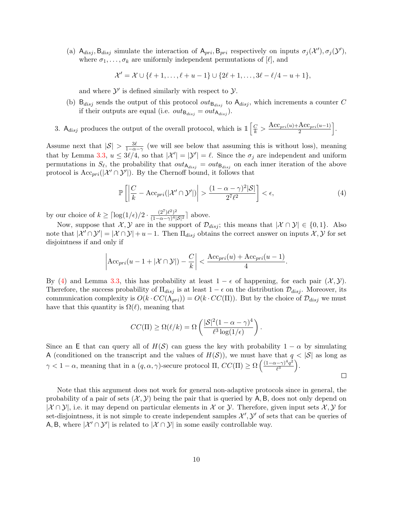(a)  $A_{disj}$ ,  $B_{disj}$  simulate the interaction of  $A_{pri}$ ,  $B_{pri}$  respectively on inputs  $\sigma_j(\mathcal{X}')$ ,  $\sigma_j(\mathcal{Y}')$ , where  $\sigma_1, \ldots, \sigma_k$  are uniformly independent permutations of  $[\ell]$ , and

$$
\mathcal{X}' = \mathcal{X} \cup \{ \ell + 1, \ldots, \ell + u - 1 \} \cup \{ 2\ell + 1, \ldots, 3\ell - \ell/4 - u + 1 \},\
$$

and where  $\mathcal{Y}'$  is defined similarly with respect to  $\mathcal{Y}$ .

(b)  $B_{disj}$  sends the output of this protocol  $out_{B_{disj}}$  to  $A_{disj}$ , which increments a counter C if their outputs are equal (i.e.  $out_{\mathbf{B}_{disj}} = out_{\mathbf{A}_{disj}}$ ).

3.  $A_{disj}$  produces the output of the overall protocol, which is  $\mathbb{1} \left[ \frac{C}{k} > \frac{Acc_{pri}(u) + Acc_{pri}(u-1)}{2} \right]$  $\left.\frac{\text{Acc}_{pri}(u-1)}{2}\right|.$ 

Assume next that  $|S| > \frac{3\ell}{1-\alpha-\gamma}$  (we will see below that assuming this is without loss), meaning that by Lemma [3.3,](#page-8-2)  $u \leq 3\ell/4$ , so that  $|\mathcal{X}'| = |\mathcal{Y}'| = \ell$ . Since the  $\sigma_j$  are independent and uniform permutations in  $S_{\ell}$ , the probability that  $out_{\mathsf{A}_{disj}} = out_{\mathsf{B}_{disj}}$  on each inner iteration of the above protocol is  $Acc_{pri}(|\mathcal{X}' \cap \mathcal{Y}'|)$ . By the Chernoff bound, it follows that

<span id="page-9-0"></span>
$$
\mathbb{P}\left[\left|\frac{C}{k} - \text{Acc}_{pri}(|\mathcal{X}' \cap \mathcal{Y}'|) \right| > \frac{(1 - \alpha - \gamma)^2 |\mathcal{S}|}{2^7 \ell^2}\right] < \epsilon,
$$
\n(4)

by our choice of  $k \geq \lceil \log(1/\epsilon)/2 \cdot \frac{(2^7)\ell^2}{(1-\alpha-\alpha)^4}\rceil$  $\frac{(2^r)\ell^2}{(1-\alpha-\gamma)^4|\mathcal{S}|^2}$  above.

Now, suppose that  $\mathcal{X}, \mathcal{Y}$  are in the support of  $\mathcal{D}_{disj}$ ; this means that  $|\mathcal{X} \cap \mathcal{Y}| \in \{0,1\}$ . Also note that  $|\mathcal{X}' \cap \mathcal{Y}'| = |\mathcal{X} \cap \mathcal{Y}| + u - 1$ . Then  $\Pi_{disj}$  obtains the correct answer on inputs  $\mathcal{X}, \mathcal{Y}$  for set disjointness if and only if

$$
\left|\text{Acc}_{pri}(u-1+|\mathcal{X}\cap \mathcal{Y}|) - \frac{C}{k}\right| < \frac{\text{Acc}_{pri}(u) + \text{Acc}_{pri}(u-1)}{4}.
$$

By [\(4\)](#page-9-0) and Lemma [3.3,](#page-8-2) this has probability at least  $1 - \epsilon$  of happening, for each pair  $(\mathcal{X}, \mathcal{Y})$ . Therefore, the success probability of  $\Pi_{disj}$  is at least  $1 - \epsilon$  on the distribution  $\mathcal{D}_{disj}$ . Moreover, its communication complexity is  $O(k \cdot CC(\Lambda_{pri})) = O(k \cdot CC(\Pi))$ . But by the choice of  $\mathcal{D}_{disj}$  we must have that this quantity is  $\Omega(\ell)$ , meaning that

$$
CC(\Pi) \ge \Omega(\ell/k) = \Omega\left(\frac{|\mathcal{S}|^2 (1 - \alpha - \gamma)^4}{\ell^3 \log(1/\epsilon)}\right).
$$

Since an E that can query all of  $H(S)$  can guess the key with probability  $1 - \alpha$  by simulating A (conditioned on the transcript and the values of  $H(S)$ ), we must have that  $q < |S|$  as long as  $\gamma < 1 - \alpha$ , meaning that in a  $(q, \alpha, \gamma)$ -secure protocol  $\Pi$ ,  $CC(\Pi) \ge \Omega \left( \frac{(1-\alpha-\gamma)^4 q^2}{\beta^3} \right)$  $\frac{(-\gamma)^4 q^2}{\ell^3}$ .

 $\Box$ 

Note that this argument does not work for general non-adaptive protocols since in general, the probability of a pair of sets  $(\mathcal{X}, \mathcal{Y})$  being the pair that is queried by A, B, does not only depend on  $|\mathcal{X} \cap \mathcal{Y}|$ , i.e. it may depend on particular elements in X or Y. Therefore, given input sets X, Y for set-disjointness, it is not simple to create independent samples  $\mathcal{X}', \mathcal{Y}'$  of sets that can be queries of A, B, where  $|\mathcal{X}' \cap \mathcal{Y}'|$  is related to  $|\mathcal{X} \cap \mathcal{Y}|$  in some easily controllable way.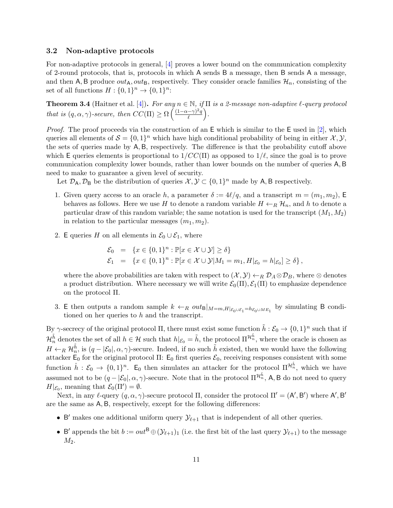### 3.2 Non-adaptive protocols

For non-adaptive protocols in general, [\[4\]](#page-14-7) proves a lower bound on the communication complexity of 2-round protocols, that is, protocols in which A sends B a message, then B sends A a message, and then A, B produce  $out_A, out_B$ , respectively. They consider oracle families  $\mathcal{H}_n$ , consisting of the set of all functions  $H: \{0,1\}^n \to \{0,1\}^n$ :

<span id="page-10-0"></span>**Theorem 3.4** (Haitner et al. [\[4\]](#page-14-7)). For any  $n \in \mathbb{N}$ , if  $\Pi$  is a 2-message non-adaptive  $\ell$ -query protocol that is  $(q, \alpha, \gamma)$ -secure, then  $CC(\Pi) \ge \Omega \left( \frac{(1-\alpha-\gamma)^2 q}{\rho} \right)$  $\frac{(-\gamma)^2q}{\ell}$ .

*Proof.* The proof proceeds via the construction of an  $E$  which is similar to the  $E$  used in [\[2\]](#page-14-5), which queries all elements of  $S = \{0,1\}^n$  which have high conditional probability of being in either  $\mathcal{X}, \mathcal{Y},$ the sets of queries made by A, B, respectively. The difference is that the probability cutoff above which E queries elements is proportional to  $1/CC(\Pi)$  as opposed to  $1/\ell$ , since the goal is to prove communication complexity lower bounds, rather than lower bounds on the number of queries A, B need to make to guarantee a given level of security.

Let  $\mathcal{D}_A, \mathcal{D}_B$  be the distribution of queries  $\mathcal{X}, \mathcal{Y} \subset \{0, 1\}^n$  made by A, B respectively.

- 1. Given query access to an oracle h, a parameter  $\delta := 4\ell/q$ , and a transcript  $m = (m_1, m_2)$ , E behaves as follows. Here we use H to denote a random variable  $H \leftarrow_R \mathcal{H}_n$ , and h to denote a particular draw of this random variable; the same notation is used for the transcript  $(M_1, M_2)$ in relation to the particular messages  $(m_1, m_2)$ .
- 2. E queries H on all elements in  $\mathcal{E}_0 \cup \mathcal{E}_1$ , where

$$
\mathcal{E}_0 = \{x \in \{0, 1\}^n : \mathbb{P}[x \in \mathcal{X} \cup \mathcal{Y}] \ge \delta\} \n\mathcal{E}_1 = \{x \in \{0, 1\}^n : \mathbb{P}[x \in \mathcal{X} \cup \mathcal{Y}]M_1 = m_1, H|_{\mathcal{E}_0} = h|_{\mathcal{E}_0}\} \ge \delta\},
$$

where the above probabilities are taken with respect to  $(\mathcal{X}, \mathcal{Y}) \leftarrow_R \mathcal{D}_A \otimes \mathcal{D}_B$ , where  $\otimes$  denotes a product distribution. Where necessary we will write  $\mathcal{E}_0(\Pi), \mathcal{E}_1(\Pi)$  to emphasize dependence on the protocol Π.

3. E then outputs a random sample  $k \leftarrow_R out_{\mathsf{B}}|_{M=m,H|_{\mathcal{E}_0\cup\mathcal{E}_1}=h_{\mathcal{E}_0\cup ME_1}}$  by simulating B conditioned on her queries to h and the transcript.

By  $\gamma$ -secrecy of the original protocol  $\Pi$ , there must exist some function  $\tilde{h}: \mathcal{E}_0 \to \{0,1\}^n$  such that if  $\mathcal{H}_n^{\tilde{h}}$  denotes the set of all  $h \in \mathcal{H}$  such that  $h|_{\mathcal{E}_0} = \tilde{h}$ , the protocol  $\Pi^{\mathcal{H}_n^{\tilde{h}}}$ , where the oracle is chosen as  $H \leftarrow_R \mathcal{H}_n^{\tilde{h}}$ , is  $(q - |\mathcal{E}_0|, \alpha, \gamma)$ -secure. Indeed, if no such  $\tilde{h}$  existed, then we would have the following attacker  $E_0$  for the original protocol Π:  $E_0$  first queries  $\mathcal{E}_0$ , receiving responses consistent with some function  $\hat{h}: \mathcal{E}_0 \to \{0,1\}^n$ . E<sub>0</sub> then simulates an attacker for the protocol  $\Pi^{\mathcal{H}_n^{\hat{h}}}$ , which we have assumed not to be  $(q - |\mathcal{E}_0|, \alpha, \gamma)$ -secure. Note that in the protocol  $\Pi^{\mathcal{H}_n^{\tilde{h}}}$ , A, B do not need to query  $H|_{\mathcal{E}_0}$ , meaning that  $\mathcal{E}_0(\Pi') = \emptyset$ .

Next, in any  $\ell$ -query  $(q, \alpha, \gamma)$ -secure protocol  $\Pi$ , consider the protocol  $\Pi' = (A', B')$  where  $A', B'$ are the same as A, B, respectively, except for the following differences:

- B' makes one additional uniform query  $\mathcal{Y}_{\ell+1}$  that is independent of all other queries.
- B' appends the bit  $b := out^B \oplus (\mathcal{Y}_{\ell+1})_1$  (i.e. the first bit of the last query  $\mathcal{Y}_{\ell+1}$ ) to the message  $M_2$ .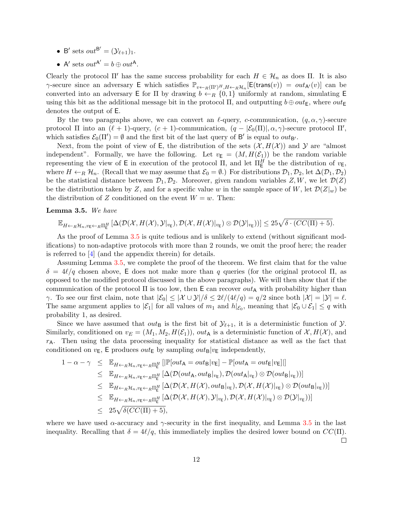- B' sets  $out^{\mathsf{B}'} = (\mathcal{Y}_{\ell+1})_1$ .
- A' sets  $out^{A'} = b \oplus out^A$ .

Clearly the protocol Π' has the same success probability for each  $H \in \mathcal{H}_n$  as does Π. It is also  $\gamma$ -secure since an adversary E which satisfies  $\mathbb{P}_{v \leftarrow R(\Pi')^H, H \leftarrow R} \mathcal{H}_n[\mathsf{E}(\mathsf{trans}(v)) = out_{\mathsf{A}'}(v)]$  can be converted into an adversary E for  $\Pi$  by drawing  $b \leftarrow_R \{0,1\}$  uniformly at random, simulating E using this bit as the additional message bit in the protocol  $\Pi$ , and outputting  $b \oplus out_{E}$ , where  $out_{E}$ denotes the output of E.

By the two paragraphs above, we can convert an  $\ell$ -query, c-communication,  $(q, \alpha, \gamma)$ -secure protocol  $\Pi$  into an  $(\ell + 1)$ -query,  $(c + 1)$ -communication,  $(q - |\mathcal{E}_0(\Pi)|, \alpha, \gamma)$ -secure protocol  $\Pi'$ , which satisfies  $\mathcal{E}_0(\Pi') = \emptyset$  and the first bit of the last query of B' is equal to  $out_{\mathsf{B'}}$ .

Next, from the point of view of E, the distribution of the sets  $(\mathcal{X}, H(\mathcal{X}))$  and Y are "almost" independent". Formally, we have the following. Let  $v_{\mathsf{E}} = (M, H(\mathcal{E}_1))$  be the random variable representing the view of E in execution of the protocol  $\Pi$ , and let  $\Pi_{\mathsf{E}}^H$  be the distribution of  $v_{\mathsf{E}}$ , where  $H \leftarrow_R \mathcal{H}_n$ . (Recall that we may assume that  $\mathcal{E}_0 = \emptyset$ .) For distributions  $\mathcal{D}_1, \mathcal{D}_2$ , let  $\Delta(\mathcal{D}_1, \mathcal{D}_2)$ be the statistical distance between  $\mathcal{D}_1, \mathcal{D}_2$ . Moreover, given random variables Z, W, we let  $\mathcal{D}(Z)$ be the distribution taken by Z, and for a specific value w in the sample space of W, let  $\mathcal{D}(Z|w)$  be the distribution of Z conditioned on the event  $W = w$ . Then:

#### <span id="page-11-0"></span>Lemma 3.5. We have

 $\mathbb{E}_{H \leftarrow_R \mathcal{H}_n, v_{\mathsf{E}} \leftarrow_R \Pi_{\mathsf{E}}^H} \left[ \Delta(\mathcal{D}(\mathcal{X}, H(\mathcal{X}), \mathcal{Y}|_{v_{\mathsf{E}}}), \mathcal{D}(\mathcal{X}, H(\mathcal{X})|_{v_{\mathsf{E}}}) \otimes \mathcal{D}(\mathcal{Y}|_{v_{\mathsf{E}}})) \right] \leq 25 \sqrt{\delta \cdot (CC(\Pi) + 5)}.$ 

As the proof of Lemma [3.5](#page-11-0) is quite tedious and is unlikely to extend (without significant modifications) to non-adaptive protocols with more than 2 rounds, we omit the proof here; the reader is referred to [\[4\]](#page-14-7) (and the appendix therein) for details.

Assuming Lemma [3.5,](#page-11-0) we complete the proof of the theorem. We first claim that for the value  $\delta = 4\ell/q$  chosen above, E does not make more than q queries (for the original protocol  $\Pi$ , as opposed to the modified protocol discussed in the above paragraphs). We will then show that if the communication of the protocol  $\Pi$  is too low, then  $E$  can recover  $out_{A}$  with probability higher than  $\gamma$ . To see our first claim, note that  $|\mathcal{E}_0| \leq |\mathcal{X} \cup \mathcal{Y}| / \delta \leq 2\ell/(4\ell/q) = q/2$  since both  $|\mathcal{X}| = |\mathcal{Y}| = \ell$ . The same argument applies to  $|\mathcal{E}_1|$  for all values of  $m_1$  and  $h|_{\mathcal{E}_0}$ , meaning that  $|\mathcal{E}_0 \cup \mathcal{E}_1| \leq q$  with probability 1, as desired.

Since we have assumed that  $out_{\mathsf{B}}$  is the first bit of  $\mathcal{Y}_{\ell+1}$ , it is a deterministic function of  $\mathcal{Y}$ . Similarly, conditioned on  $v_E = (M_1, M_2, H(\mathcal{E}_1)),$  out<sub>A</sub> is a deterministic function of  $\mathcal{X}, H(\mathcal{X})$ , and  $r_A$ . Then using the data processing inequality for statistical distance as well as the fact that conditioned on  $v_{\text{E}}$ , E produces  $out_{\text{E}}$  by sampling  $out_{\text{B}}|v_{\text{E}}$  independently,

$$
1 - \alpha - \gamma \leq \mathbb{E}_{H \leftarrow_R \mathcal{H}_n, v_{\mathsf{E}} \leftarrow_R \Pi_{\mathsf{E}}^H} \left[ \left| \mathbb{P}[\text{out}_\mathsf{A} = \text{out}_\mathsf{B} | v_{\mathsf{E}}] - \mathbb{P}[\text{out}_\mathsf{A} = \text{out}_\mathsf{E} | v_{\mathsf{E}}] \right| \right] \leq \mathbb{E}_{H \leftarrow_R \mathcal{H}_n, v_{\mathsf{E}} \leftarrow_R \Pi_{\mathsf{E}}^H} \left[ \Delta(\mathcal{D}(\text{out}_\mathsf{A}, \text{out}_\mathsf{B} | v_{\mathsf{E}}), \mathcal{D}(\text{out}_\mathsf{A} | v_{\mathsf{E}}) \otimes \mathcal{D}(\text{out}_\mathsf{B} | v_{\mathsf{E}})) \right] \leq \mathbb{E}_{H \leftarrow_R \mathcal{H}_n, v_{\mathsf{E}} \leftarrow_R \Pi_{\mathsf{E}}^H} \left[ \Delta(\mathcal{D}(\mathcal{X}, H(\mathcal{X}), \text{out}_\mathsf{B} | v_{\mathsf{E}}), \mathcal{D}(\mathcal{X}, H(\mathcal{X}) | v_{\mathsf{E}}) \otimes \mathcal{D}(\text{out}_\mathsf{B} | v_{\mathsf{E}})) \right] \leq \mathbb{E}_{H \leftarrow_R \mathcal{H}_n, v_{\mathsf{E}} \leftarrow_R \Pi_{\mathsf{E}}^H} \left[ \Delta(\mathcal{D}(\mathcal{X}, H(\mathcal{X}), \mathcal{Y} | v_{\mathsf{E}}), \mathcal{D}(\mathcal{X}, H(\mathcal{X}) | v_{\mathsf{E}}) \otimes \mathcal{D}(\mathcal{Y} | v_{\mathsf{E}})) \right] \leq 25 \sqrt{\delta(\mathcal{CC}(\Pi) + 5)},
$$

where we have used  $\alpha$ -accuracy and  $\gamma$ -security in the first inequality, and Lemma [3.5](#page-11-0) in the last inequality. Recalling that  $\delta = 4\ell/q$ , this immediately implies the desired lower bound on  $CC(\Pi)$ .  $\Box$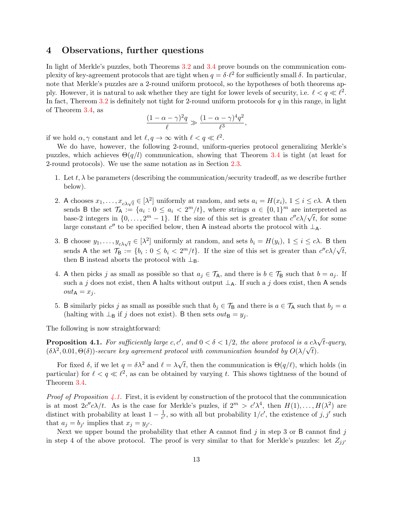## <span id="page-12-0"></span>4 Observations, further questions

In light of Merkle's puzzles, both Theorems [3.2](#page-7-0) and [3.4](#page-10-0) prove bounds on the communication complexity of key-agreement protocols that are tight when  $q = \delta \cdot \ell^2$  for sufficiently small  $\delta$ . In particular, note that Merkle's puzzles are a 2-round uniform protocol, so the hypotheses of both theorems apply. However, it is natural to ask whether they are tight for lower levels of security, i.e.  $\ell < q \ll \ell^2$ . In fact, Thereom [3.2](#page-7-0) is definitely not tight for 2-round uniform protocols for  $q$  in this range, in light of Theorem [3.4,](#page-10-0) as

$$
\frac{(1-\alpha-\gamma)^2q}{\ell} \gg \frac{(1-\alpha-\gamma)^4q^2}{\ell^3},
$$

if we hold  $\alpha, \gamma$  constant and let  $\ell, q \to \infty$  with  $\ell < q \ll \ell^2$ .

We do have, however, the following 2-round, uniform-queries protocol generalizing Merkle's puzzles, which achieves  $\Theta(q/l)$  communication, showing that Theorem [3.4](#page-10-0) is tight (at least for 2-round protocols). We use the same notation as in Section [2.3.](#page-2-1)

- 1. Let t,  $\lambda$  be parameters (describing the communication/security tradeoff, as we describe further below).
- 2. A chooses  $x_1, \ldots, x_{c\lambda\sqrt{t}} \in [\lambda^2]$  uniformly at random, and sets  $a_i = H(x_i)$ ,  $1 \le i \le c\lambda$ . A then sends B the set  $\mathcal{T}_{\mathsf{A}} := \{a_i : 0 \le a_i < 2^m/t\}$ , where strings  $a \in \{0,1\}^m$  are interpreted as base-2 integers in  $\{0, \ldots, 2^m - 1\}$ . If the size of this set is greater than  $c''c\lambda/\sqrt{t}$ , for some large constant  $c''$  to be specified below, then A instead aborts the protocol with  $\perp$ <sub>A</sub>.
- 3. B choose  $y_1, \ldots, y_{c\lambda\sqrt{t}} \in [\lambda^2]$  uniformly at random, and sets  $b_i = H(y_i), 1 \le i \le c\lambda$ . B then So choose  $g_1, \ldots, g_{c\lambda\sqrt{t}} \in [N]$  difficulties at failure set  $g_i = H(g_i)$ ,  $1 \le i \le c$ . By chemical set  $\mathcal{T}_B := \{b_i : 0 \le b_i < 2^m/t\}$ . If the size of this set is greater than  $c''c\lambda/\sqrt{t}$ , then B instead aborts the protocol with  $\perp_B$ .
- 4. A then picks j as small as possible so that  $a_j \in \mathcal{T}_A$ , and there is  $b \in \mathcal{T}_B$  such that  $b = a_j$ . If such a j does not exist, then A halts without output  $\perp_A$ . If such a j does exist, then A sends  $out_{\mathsf{A}} = x_i.$
- 5. B similarly picks j as small as possible such that  $b_i \in \mathcal{T}_{\mathsf{B}}$  and there is  $a \in \mathcal{T}_{\mathsf{A}}$  such that  $b_i = a$ (halting with  $\perp_B$  if j does not exist). B then sets  $out_B = y_i$ .

The following is now straightforward:

<span id="page-12-1"></span>**Proposition 4.1.** For sufficiently large c, c', and  $0 < \delta < 1/2$ , the above protocol is a c $\lambda \sqrt{t}$ -query, **Proposition 4.1.** For sufficiently targe c, c, and  $0 < \theta < 1/2$ , the above protocol is a condet  $(\delta \lambda^2, 0.01, \Theta(\delta))$ -secure key agreement protocol with communication bounded by  $O(\lambda/\sqrt{t})$ .

For fixed  $\delta$ , if we let  $q = \delta \lambda^2$  and  $\ell = \lambda \sqrt{\ }$ t, then the communication is  $\Theta(q/\ell)$ , which holds (in particular) for  $\ell < q \ll \ell^2$ , as can be obtained by varying t. This shows tightness of the bound of Theorem [3.4.](#page-10-0)

*Proof of Proposition [4.1.](#page-12-1)* First, it is evident by construction of the protocol that the communication is at most  $2c''c\lambda/t$ . As is the case for Merkle's puzles, if  $2^m > c'\lambda^4$ , then  $H(1), \ldots, H(\lambda^2)$  are distinct with probability at least  $1 - \frac{1}{c'}$  $\frac{1}{c'}$ , so with all but probability  $1/c'$ , the existence of  $j, j'$  such that  $a_j = b_{j'}$  implies that  $x_j = y_{j'}$ .

Next we upper bound the probability that ether A cannot find j in step 3 or B cannot find j in step 4 of the above protocol. The proof is very similar to that for Merkle's puzzles: let  $Z_{jj'}$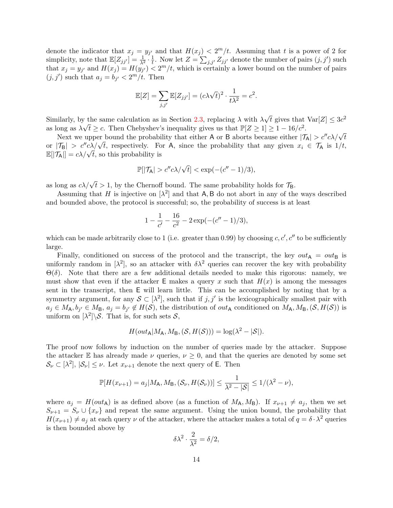denote the indicator that  $x_j = y_{j'}$  and that  $H(x_j) < 2<sup>m</sup>/t$ . Assuming that t is a power of 2 for simplicity, note that  $\mathbb{E}[Z_{jj'}] = \frac{1}{\lambda^2} \cdot \frac{1}{t}$  $\frac{1}{t}$ . Now let  $Z = \sum_{j,j'} Z_{jj'}$  denote the number of pairs  $(j, j')$  such that  $x_j = y_{j'}$  and  $H(x_j) = H(y_{j'}) < 2<sup>m</sup>/t$ , which is certainly a lower bound on the number of pairs  $(j, j')$  such that  $a_j = b_{j'} < 2^m/t$ . Then

$$
\mathbb{E}[Z] = \sum_{j,j'} \mathbb{E}[Z_{jj'}] = (c\lambda\sqrt{t})^2 \cdot \frac{1}{t\lambda^2} = c^2.
$$

Similarly, by the same calculation as in Section [2.3,](#page-2-1) replacing  $\lambda$  with  $\lambda$ √ *v* the same calculation as in Section 2.3, replacing  $\lambda$  with  $\lambda \sqrt{t}$  gives that  $Var[Z] \leq 3c^2$ as long as  $\lambda \sqrt{t} \geq c$ . Then Chebyshev's inequality gives us that  $\mathbb{P}[Z \geq 1] \geq 1 - 16/c^2$ .

Song as  $\lambda \sqrt{t} \geq c$ . Then Chebyshev's inequality gives us that  $\mathbb{P}[2 \leq 1] \geq 1 - 10/c$ .<br>Next we upper bound the probability that either A or B aborts because either  $|\mathcal{T}_A| > c''c\lambda/\sqrt{t}$ or  $|\mathcal{T}_{\mathsf{B}}| > c''c\lambda/\sqrt{t}$ , respectively. For A, since the probability that any given  $x_i \in \mathcal{T}_{\mathsf{A}}$  is  $1/t$ , or  $|\mathcal{T}_{\mathsf{A}}| > c$   $c \lambda / \sqrt{t}$ , respectively. For  $\mathbb{E}[|\mathcal{T}_{\mathsf{A}}|] = c\lambda / \sqrt{t}$ , so this probability is

$$
\mathbb{P}[|\mathcal{T}_{\mathsf{A}}| > c''c\lambda/\sqrt{t}] < \exp(-(c''-1)/3),
$$

as long as  $c\lambda/\sqrt{t} > 1$ , by the Chernoff bound. The same probability holds for  $\mathcal{T}_{B}$ .

Assuming that H is injective on  $[\lambda^2]$  and that A, B do not abort in any of the ways described and bounded above, the protocol is successful; so, the probability of success is at least

$$
1 - \frac{1}{c'} - \frac{16}{c^2} - 2\exp(-(c'' - 1)/3),
$$

which can be made arbitrarily close to 1 (i.e. greater than 0.99) by choosing  $c, c', c''$  to be sufficiently large.

Finally, conditioned on success of the protocol and the transcript, the key  $out_A = out_B$  is uniformly random in  $[\lambda^2]$ , so an attacker with  $\delta\lambda^2$  queries can recover the key with probability Θ(δ). Note that there are a few additional details needed to make this rigorous: namely, we must show that even if the attacker E makes a query x such that  $H(x)$  is among the messages sent in the transcript, then E will learn little. This can be accomplished by noting that by a symmetry argument, for any  $S \subset [\lambda^2]$ , such that if  $j, j'$  is the lexicographically smallest pair with  $a_j \in M_A, b_{j'} \in M_B, a_j = b_{j'} \notin H(S)$ , the distribution of  $out_A$  conditioned on  $M_A, M_B, (S, H(S))$  is uniform on  $\left[\lambda^2\right]\setminus\mathcal{S}$ . That is, for such sets  $\mathcal{S}$ ,

$$
H(out_{\mathsf{A}}|M_{\mathsf{A}}, M_{\mathsf{B}}, (\mathcal{S}, H(\mathcal{S}))) = \log(\lambda^2 - |\mathcal{S}|).
$$

The proof now follows by induction on the number of queries made by the attacker. Suppose the attacker E has already made  $\nu$  queries,  $\nu \geq 0$ , and that the queries are denoted by some set  $\mathcal{S}_{\nu} \subset [\lambda^2], |\mathcal{S}_{\nu}| \leq \nu$ . Let  $x_{\nu+1}$  denote the next query of E. Then

$$
\mathbb{P}[H(x_{\nu+1})=a_j|M_{\mathsf{A}},M_{\mathsf{B}},(\mathcal{S}_{\nu},H(\mathcal{S}_{\nu}))]\leq \frac{1}{\lambda^2-|\mathcal{S}|}\leq 1/(\lambda^2-\nu),
$$

where  $a_j = H(out_A)$  is as defined above (as a function of  $M_A, M_B$ ). If  $x_{\nu+1} \neq a_j$ , then we set  $S_{\nu+1} = S_{\nu} \cup \{x_{\nu}\}\$ and repeat the same argument. Using the union bound, the probability that  $H(x_{\nu+1}) \neq a_j$  at each query  $\nu$  of the attacker, where the attacker makes a total of  $q = \delta \cdot \lambda^2$  queries is then bounded above by

$$
\delta \lambda^2 \cdot \frac{2}{\lambda^2} = \delta/2,
$$